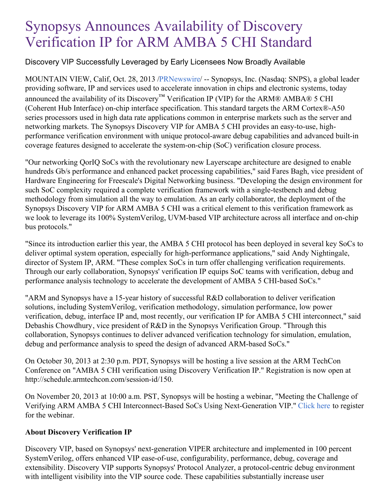# Synopsys Announces Availability of Discovery Verification IP for ARM AMBA 5 CHI Standard

## Discovery VIP Successfully Leveraged by Early Licensees Now Broadly Available

MOUNTAIN VIEW, Calif, Oct. 28, 2013 [/PRNewswire](http://www.prnewswire.com/)/ -- Synopsys, Inc. (Nasdaq: SNPS), a global leader providing software, IP and services used to accelerate innovation in chips and electronic systems, today announced the availability of its Discovery<sup>™</sup> Verification IP (VIP) for the ARM® AMBA® 5 CHI (Coherent Hub Interface) on-chip interface specification. This standard targets the ARM Cortex®-A50 series processors used in high data rate applications common in enterprise markets such as the server and networking markets. The Synopsys Discovery VIP for AMBA 5 CHI provides an easy-to-use, highperformance verification environment with unique protocol-aware debug capabilities and advanced built-in coverage features designed to accelerate the system-on-chip (SoC) verification closure process.

"Our networking QorIQ SoCs with the revolutionary new Layerscape architecture are designed to enable hundreds Gb/s performance and enhanced packet processing capabilities," said Fares Bagh, vice president of Hardware Engineering for Freescale's Digital Networking business. "Developing the design environment for such SoC complexity required a complete verification framework with a single-testbench and debug methodology from simulation all the way to emulation. As an early collaborator, the deployment of the Synopsys Discovery VIP for ARM AMBA 5 CHI was a critical element to this verification framework as we look to leverage its 100% SystemVerilog, UVM-based VIP architecture across all interface and on-chip bus protocols."

"Since its introduction earlier this year, the AMBA 5 CHI protocol has been deployed in several key SoCs to deliver optimal system operation, especially for high-performance applications," said Andy Nightingale, director of System IP, ARM. "These complex SoCs in turn offer challenging verification requirements. Through our early collaboration, Synopsys' verification IP equips SoC teams with verification, debug and performance analysis technology to accelerate the development of AMBA 5 CHI-based SoCs."

"ARM and Synopsys have a 15-year history of successful R&D collaboration to deliver verification solutions, including SystemVerilog, verification methodology, simulation performance, low power verification, debug, interface IP and, most recently, our verification IP for AMBA 5 CHI interconnect," said Debashis Chowdhury, vice president of R&D in the Synopsys Verification Group. "Through this collaboration, Synopsys continues to deliver advanced verification technology for simulation, emulation, debug and performance analysis to speed the design of advanced ARM-based SoCs."

On October 30, 2013 at 2:30 p.m. PDT, Synopsys will be hosting a live session at the ARM TechCon Conference on "AMBA 5 CHI verification using Discovery Verification IP." Registration is now open at http://schedule.armtechcon.com/session-id/150.

On November 20, 2013 at 10:00 a.m. PST, Synopsys will be hosting a webinar, "Meeting the Challenge of Verifying ARM AMBA 5 CHI Interconnect-Based SoCs Using Next-Generation VIP." [Click](https://event.on24.com/eventRegistration/prereg/register.jsp?eventid=655189&sessionid=1&key=3F152082D9FE010DA76BE746EF138426) here to register for the webinar.

### **About Discovery Verification IP**

Discovery VIP, based on Synopsys' next-generation VIPER architecture and implemented in 100 percent SystemVerilog, offers enhanced VIP ease-of-use, configurability, performance, debug, coverage and extensibility. Discovery VIP supports Synopsys' Protocol Analyzer, a protocol-centric debug environment with intelligent visibility into the VIP source code. These capabilities substantially increase user